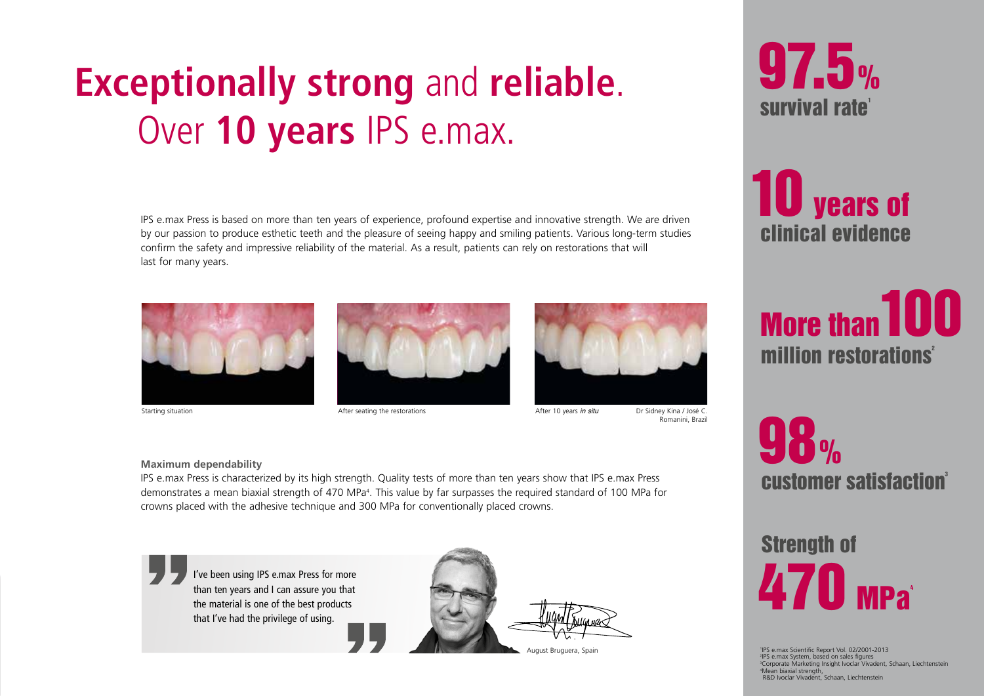# **Exceptionally strong** and **reliable**. Over **10 years** IPS e.max.

IPS e.max Press is based on more than ten years of experience, profound expertise and innovative strength. We are driven by our passion to produce esthetic teeth and the pleasure of seeing happy and smiling patients. Various long-term studies confirm the safety and impressive reliability of the material. As a result, patients can rely on restorations that will last for many years.



clinical evidence **10** years of









Starting situation **After seating the restorations** After seating the restorations After 10 years in situ Dr Sidney Kina / José C.

Romanini, Brazil

#### **Maximum dependability**

IPS e.max Press is characterized by its high strength. Quality tests of more than ten years show that IPS e.max Press demonstrates a mean biaxial strength of 470 MPa<sup>4</sup>. This value by far surpasses the required standard of 100 MPa for crowns placed with the adhesive technique and 300 MPa for conventionally placed crowns.



I've been using IPS e.max Press for more than ten years and I can assure you that the material is one of the best products that I've had the privilege of using.



August Bruguera, Spain

customer satisfaction® 98 %

Strength of  $470$  Mpa

 IPS e.max Scientific Report Vol. 02/2001-2013 IPS e.max System, based on sales figures Corporate Marketing Insight Ivoclar Vivadent, Schaan, Liechtenstein Mean biaxial strength, R&D Ivoclar Vivadent, Schaan, Liechtenstein